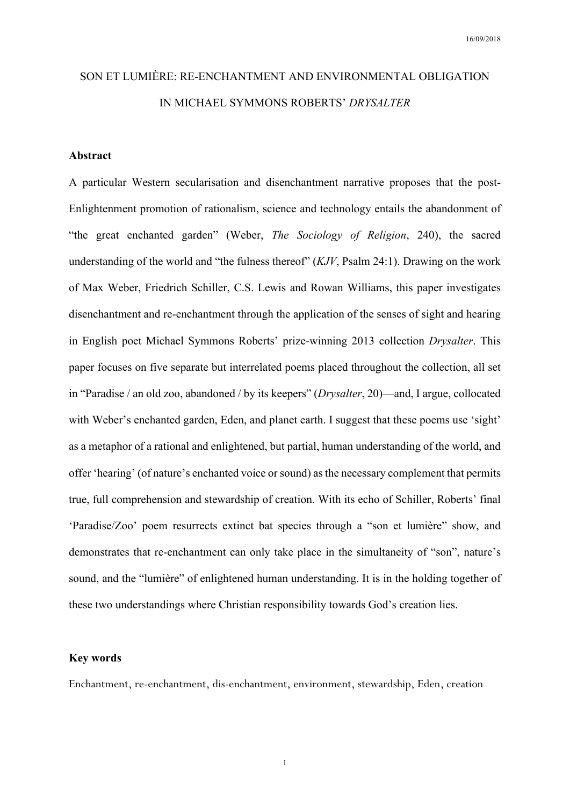# SON ET LUMIÈRE: RE-ENCHANTMENT AND ENVIRONMENTAL OBLIGATION IN MICHAEL SYMMONS ROBERTS' *DRYSALTER*

# **Abstract**

A particular Western secularisation and disenchantment narrative proposes that the post-Enlightenment promotion of rationalism, science and technology entails the abandonment of "the great enchanted garden" (Weber, *The Sociology of Religion*, 240), the sacred understanding of the world and "the fulness thereof" (*KJV*, Psalm 24:1). Drawing on the work of Max Weber, Friedrich Schiller, C.S. Lewis and Rowan Williams, this paper investigates disenchantment and re-enchantment through the application of the senses of sight and hearing in English poet Michael Symmons Roberts' prize-winning 2013 collection *Drysalter*. This paper focuses on five separate but interrelated poems placed throughout the collection, all set in "Paradise / an old zoo, abandoned / by its keepers" (*Drysalter*, 20)—and, I argue, collocated with Weber's enchanted garden, Eden, and planet earth. I suggest that these poems use 'sight' as a metaphor of a rational and enlightened, but partial, human understanding of the world, and offer 'hearing' (of nature's enchanted voice or sound) as the necessary complement that permits true, full comprehension and stewardship of creation. With its echo of Schiller, Roberts' final 'Paradise/Zoo' poem resurrects extinct bat species through a "son et lumière" show, and demonstrates that re-enchantment can only take place in the simultaneity of "son", nature's sound, and the "lumière" of enlightened human understanding. It is in the holding together of these two understandings where Christian responsibility towards God's creation lies.

#### **Key words**

Enchantment, re-enchantment, dis-enchantment, environment, stewardship, Eden, creation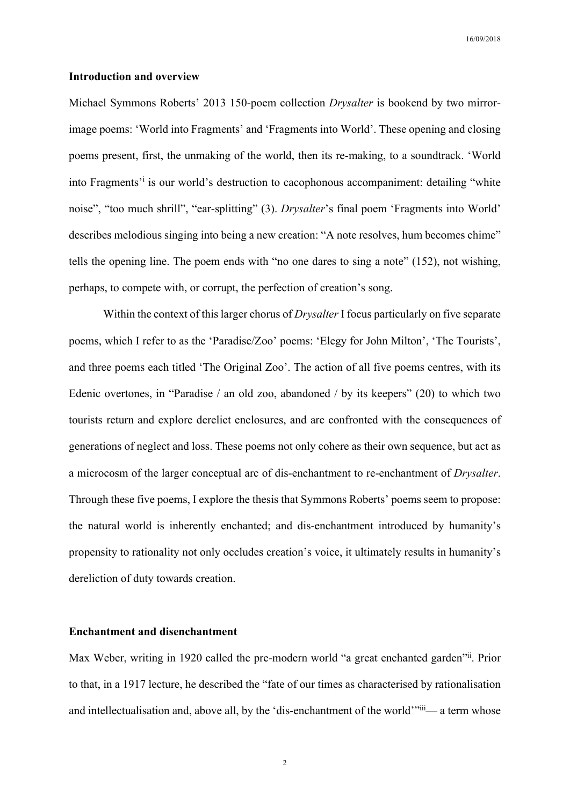#### **Introduction and overview**

Michael Symmons Roberts' 2013 150-poem collection *Drysalter* is bookend by two mirrorimage poems: 'World into Fragments' and 'Fragments into World'. These opening and closing poems present, first, the unmaking of the world, then its re-making, to a soundtrack. 'World into Fragments<sup>'</sup> is our world's destruction to cacophonous accompaniment: detailing "white noise", "too much shrill", "ear-splitting" (3). *Drysalter*'s final poem 'Fragments into World' describes melodious singing into being a new creation: "A note resolves, hum becomes chime" tells the opening line. The poem ends with "no one dares to sing a note" (152), not wishing, perhaps, to compete with, or corrupt, the perfection of creation's song.

Within the context of this larger chorus of *Drysalter* I focus particularly on five separate poems, which I refer to as the 'Paradise/Zoo' poems: 'Elegy for John Milton', 'The Tourists', and three poems each titled 'The Original Zoo'. The action of all five poems centres, with its Edenic overtones, in "Paradise / an old zoo, abandoned / by its keepers" (20) to which two tourists return and explore derelict enclosures, and are confronted with the consequences of generations of neglect and loss. These poems not only cohere as their own sequence, but act as a microcosm of the larger conceptual arc of dis-enchantment to re-enchantment of *Drysalter*. Through these five poems, I explore the thesis that Symmons Roberts' poems seem to propose: the natural world is inherently enchanted; and dis-enchantment introduced by humanity's propensity to rationality not only occludes creation's voice, it ultimately results in humanity's dereliction of duty towards creation.

### **Enchantment and disenchantment**

Max Weber, writing in 1920 called the pre-modern world "a great enchanted garden"ii. Prior to that, in a 1917 lecture, he described the "fate of our times as characterised by rationalisation and intellectualisation and, above all, by the 'dis-enchantment of the world'"iii— a term whose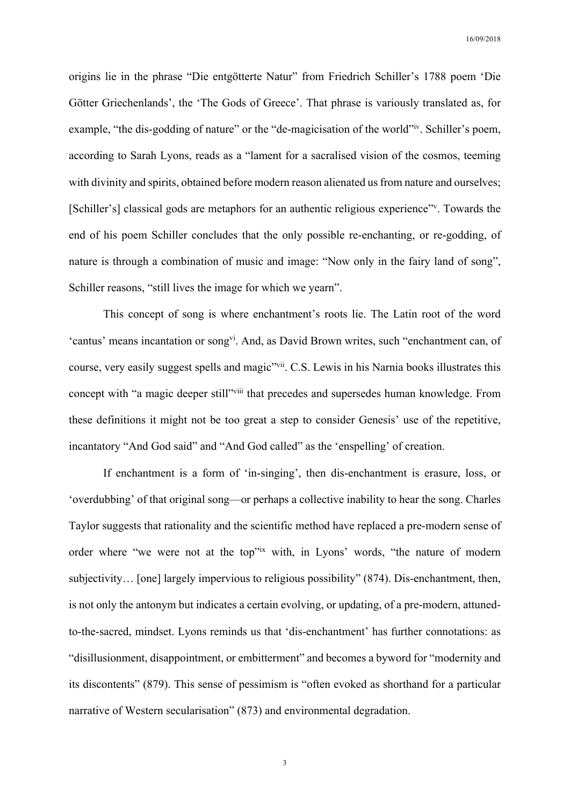origins lie in the phrase "Die entgötterte Natur" from Friedrich Schiller's 1788 poem 'Die Götter Griechenlands', the 'The Gods of Greece'. That phrase is variously translated as, for example, "the dis-godding of nature" or the "de-magicisation of the world" iv. Schiller's poem, according to Sarah Lyons, reads as a "lament for a sacralised vision of the cosmos, teeming with divinity and spirits, obtained before modern reason alienated us from nature and ourselves; [Schiller's] classical gods are metaphors for an authentic religious experience"<sup>v</sup>. Towards the end of his poem Schiller concludes that the only possible re-enchanting, or re-godding, of nature is through a combination of music and image: "Now only in the fairy land of song", Schiller reasons, "still lives the image for which we yearn".

This concept of song is where enchantment's roots lie. The Latin root of the word 'cantus' means incantation or songvi. And, as David Brown writes, such "enchantment can, of course, very easily suggest spells and magic"<sup>vii</sup>. C.S. Lewis in his Narnia books illustrates this concept with "a magic deeper still"<sup>viii</sup> that precedes and supersedes human knowledge. From these definitions it might not be too great a step to consider Genesis' use of the repetitive, incantatory "And God said" and "And God called" as the 'enspelling' of creation.

If enchantment is a form of 'in-singing', then dis-enchantment is erasure, loss, or 'overdubbing' of that original song—or perhaps a collective inability to hear the song. Charles Taylor suggests that rationality and the scientific method have replaced a pre-modern sense of order where "we were not at the top"<sup>ix</sup> with, in Lyons' words, "the nature of modern subjectivity… [one] largely impervious to religious possibility" (874). Dis-enchantment, then, is not only the antonym but indicates a certain evolving, or updating, of a pre-modern, attunedto-the-sacred, mindset. Lyons reminds us that 'dis-enchantment' has further connotations: as "disillusionment, disappointment, or embitterment" and becomes a byword for "modernity and its discontents" (879). This sense of pessimism is "often evoked as shorthand for a particular narrative of Western secularisation" (873) and environmental degradation.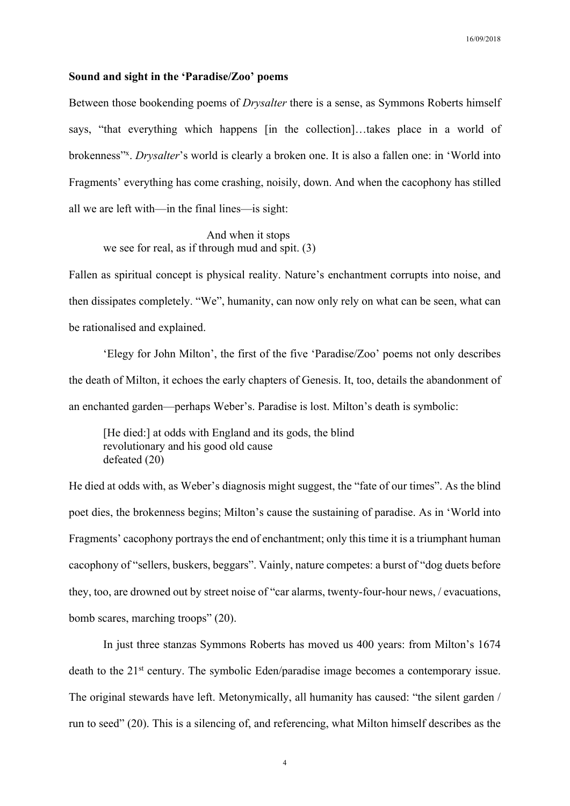## **Sound and sight in the 'Paradise/Zoo' poems**

Between those bookending poems of *Drysalter* there is a sense, as Symmons Roberts himself says, "that everything which happens [in the collection]…takes place in a world of brokenness"x. *Drysalter*'s world is clearly a broken one. It is also a fallen one: in 'World into Fragments' everything has come crashing, noisily, down. And when the cacophony has stilled all we are left with—in the final lines—is sight:

And when it stops we see for real, as if through mud and spit. (3)

Fallen as spiritual concept is physical reality. Nature's enchantment corrupts into noise, and then dissipates completely. "We", humanity, can now only rely on what can be seen, what can be rationalised and explained.

'Elegy for John Milton', the first of the five 'Paradise/Zoo' poems not only describes the death of Milton, it echoes the early chapters of Genesis. It, too, details the abandonment of an enchanted garden—perhaps Weber's. Paradise is lost. Milton's death is symbolic:

[He died:] at odds with England and its gods, the blind revolutionary and his good old cause defeated (20)

He died at odds with, as Weber's diagnosis might suggest, the "fate of our times". As the blind poet dies, the brokenness begins; Milton's cause the sustaining of paradise. As in 'World into Fragments' cacophony portrays the end of enchantment; only this time it is a triumphant human cacophony of "sellers, buskers, beggars". Vainly, nature competes: a burst of "dog duets before they, too, are drowned out by street noise of "car alarms, twenty-four-hour news, / evacuations, bomb scares, marching troops" (20).

In just three stanzas Symmons Roberts has moved us 400 years: from Milton's 1674 death to the 21<sup>st</sup> century. The symbolic Eden/paradise image becomes a contemporary issue. The original stewards have left. Metonymically, all humanity has caused: "the silent garden / run to seed" (20). This is a silencing of, and referencing, what Milton himself describes as the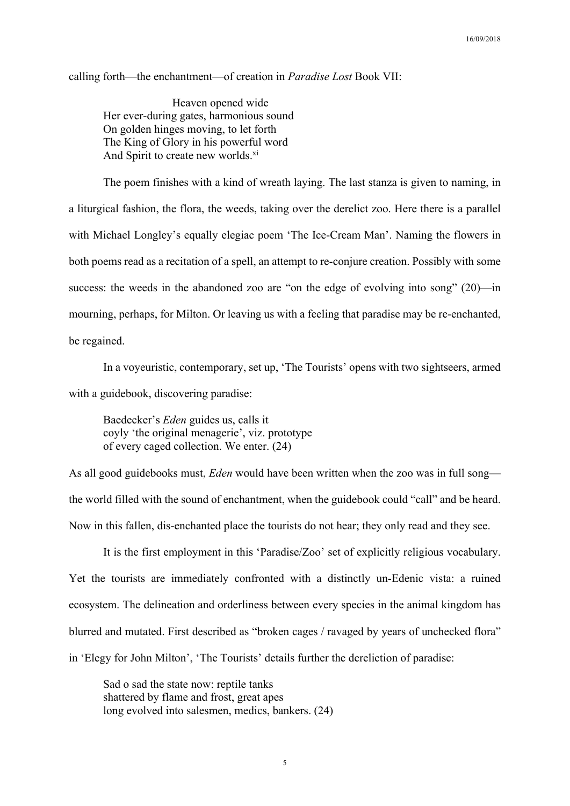calling forth—the enchantment—of creation in *Paradise Lost* Book VII:

Heaven opened wide Her ever-during gates, harmonious sound On golden hinges moving, to let forth The King of Glory in his powerful word And Spirit to create new worlds.<sup>xi</sup>

The poem finishes with a kind of wreath laying. The last stanza is given to naming, in a liturgical fashion, the flora, the weeds, taking over the derelict zoo. Here there is a parallel with Michael Longley's equally elegiac poem 'The Ice-Cream Man'. Naming the flowers in both poems read as a recitation of a spell, an attempt to re-conjure creation. Possibly with some success: the weeds in the abandoned zoo are "on the edge of evolving into song" (20)—in mourning, perhaps, for Milton. Or leaving us with a feeling that paradise may be re-enchanted, be regained.

In a voyeuristic, contemporary, set up, 'The Tourists' opens with two sightseers, armed with a guidebook, discovering paradise:

Baedecker's *Eden* guides us, calls it coyly 'the original menagerie', viz. prototype of every caged collection. We enter. (24)

As all good guidebooks must, *Eden* would have been written when the zoo was in full song the world filled with the sound of enchantment, when the guidebook could "call" and be heard. Now in this fallen, dis-enchanted place the tourists do not hear; they only read and they see.

It is the first employment in this 'Paradise/Zoo' set of explicitly religious vocabulary. Yet the tourists are immediately confronted with a distinctly un-Edenic vista: a ruined ecosystem. The delineation and orderliness between every species in the animal kingdom has blurred and mutated. First described as "broken cages / ravaged by years of unchecked flora" in 'Elegy for John Milton', 'The Tourists' details further the dereliction of paradise:

Sad o sad the state now: reptile tanks shattered by flame and frost, great apes long evolved into salesmen, medics, bankers. (24)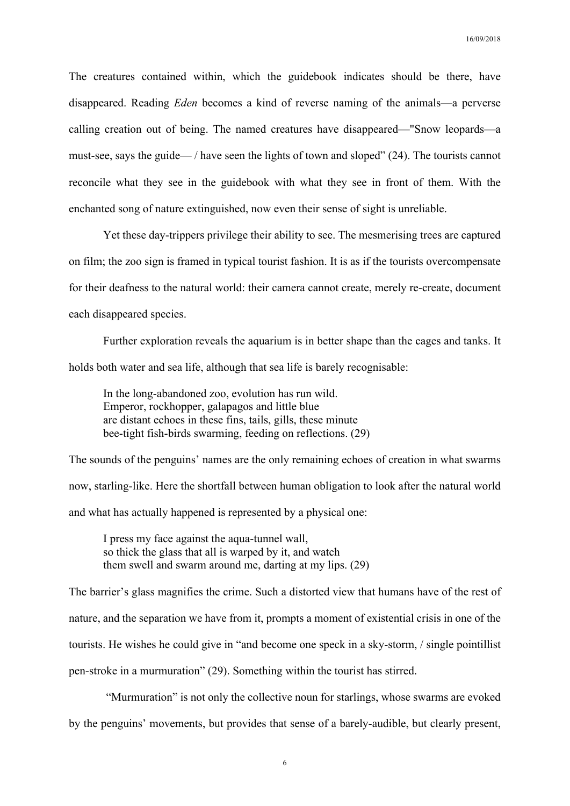The creatures contained within, which the guidebook indicates should be there, have disappeared. Reading *Eden* becomes a kind of reverse naming of the animals—a perverse calling creation out of being. The named creatures have disappeared—"Snow leopards—a must-see, says the guide— / have seen the lights of town and sloped" (24). The tourists cannot reconcile what they see in the guidebook with what they see in front of them. With the enchanted song of nature extinguished, now even their sense of sight is unreliable.

Yet these day-trippers privilege their ability to see. The mesmerising trees are captured on film; the zoo sign is framed in typical tourist fashion. It is as if the tourists overcompensate for their deafness to the natural world: their camera cannot create, merely re-create, document each disappeared species.

Further exploration reveals the aquarium is in better shape than the cages and tanks. It holds both water and sea life, although that sea life is barely recognisable:

In the long-abandoned zoo, evolution has run wild. Emperor, rockhopper, galapagos and little blue are distant echoes in these fins, tails, gills, these minute bee-tight fish-birds swarming, feeding on reflections. (29)

The sounds of the penguins' names are the only remaining echoes of creation in what swarms now, starling-like. Here the shortfall between human obligation to look after the natural world and what has actually happened is represented by a physical one:

I press my face against the aqua-tunnel wall, so thick the glass that all is warped by it, and watch them swell and swarm around me, darting at my lips. (29)

The barrier's glass magnifies the crime. Such a distorted view that humans have of the rest of nature, and the separation we have from it, prompts a moment of existential crisis in one of the tourists. He wishes he could give in "and become one speck in a sky-storm, / single pointillist pen-stroke in a murmuration" (29). Something within the tourist has stirred.

"Murmuration" is not only the collective noun for starlings, whose swarms are evoked

by the penguins' movements, but provides that sense of a barely-audible, but clearly present,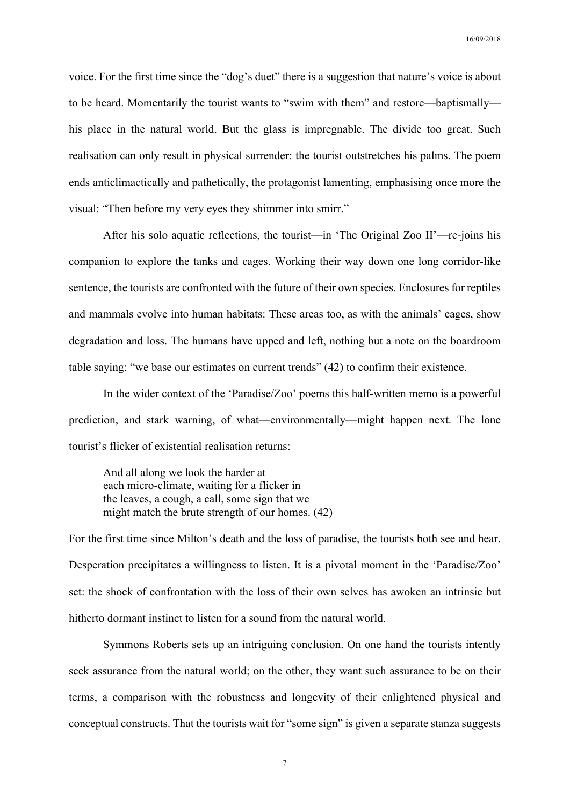voice. For the first time since the "dog's duet" there is a suggestion that nature's voice is about to be heard. Momentarily the tourist wants to "swim with them" and restore—baptismally his place in the natural world. But the glass is impregnable. The divide too great. Such realisation can only result in physical surrender: the tourist outstretches his palms. The poem ends anticlimactically and pathetically, the protagonist lamenting, emphasising once more the visual: "Then before my very eyes they shimmer into smirr."

After his solo aquatic reflections, the tourist—in 'The Original Zoo II'—re-joins his companion to explore the tanks and cages. Working their way down one long corridor-like sentence, the tourists are confronted with the future of their own species. Enclosures for reptiles and mammals evolve into human habitats: These areas too, as with the animals' cages, show degradation and loss. The humans have upped and left, nothing but a note on the boardroom table saying: "we base our estimates on current trends" (42) to confirm their existence.

In the wider context of the 'Paradise/Zoo' poems this half-written memo is a powerful prediction, and stark warning, of what—environmentally—might happen next. The lone tourist's flicker of existential realisation returns:

And all along we look the harder at each micro-climate, waiting for a flicker in the leaves, a cough, a call, some sign that we might match the brute strength of our homes. (42)

For the first time since Milton's death and the loss of paradise, the tourists both see and hear. Desperation precipitates a willingness to listen. It is a pivotal moment in the 'Paradise/Zoo' set: the shock of confrontation with the loss of their own selves has awoken an intrinsic but hitherto dormant instinct to listen for a sound from the natural world.

Symmons Roberts sets up an intriguing conclusion. On one hand the tourists intently seek assurance from the natural world; on the other, they want such assurance to be on their terms, a comparison with the robustness and longevity of their enlightened physical and conceptual constructs. That the tourists wait for "some sign" is given a separate stanza suggests

7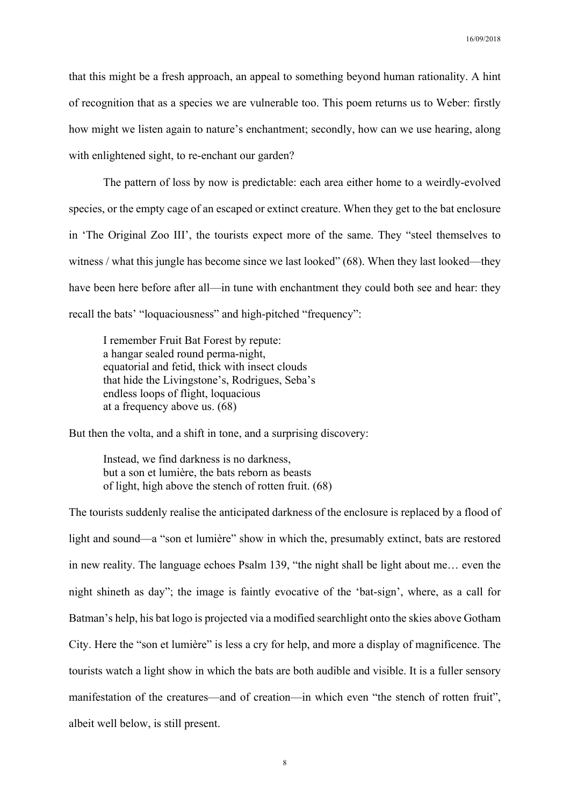that this might be a fresh approach, an appeal to something beyond human rationality. A hint of recognition that as a species we are vulnerable too. This poem returns us to Weber: firstly how might we listen again to nature's enchantment; secondly, how can we use hearing, along with enlightened sight, to re-enchant our garden?

The pattern of loss by now is predictable: each area either home to a weirdly-evolved species, or the empty cage of an escaped or extinct creature. When they get to the bat enclosure in 'The Original Zoo III', the tourists expect more of the same. They "steel themselves to witness / what this jungle has become since we last looked" (68). When they last looked—they have been here before after all—in tune with enchantment they could both see and hear: they recall the bats' "loquaciousness" and high-pitched "frequency":

I remember Fruit Bat Forest by repute: a hangar sealed round perma-night, equatorial and fetid, thick with insect clouds that hide the Livingstone's, Rodrigues, Seba's endless loops of flight, loquacious at a frequency above us. (68)

But then the volta, and a shift in tone, and a surprising discovery:

Instead, we find darkness is no darkness, but a son et lumière, the bats reborn as beasts of light, high above the stench of rotten fruit. (68)

The tourists suddenly realise the anticipated darkness of the enclosure is replaced by a flood of light and sound—a "son et lumière" show in which the, presumably extinct, bats are restored in new reality. The language echoes Psalm 139, "the night shall be light about me… even the night shineth as day"; the image is faintly evocative of the 'bat-sign', where, as a call for Batman's help, his bat logo is projected via a modified searchlight onto the skies above Gotham City. Here the "son et lumière" is less a cry for help, and more a display of magnificence. The tourists watch a light show in which the bats are both audible and visible. It is a fuller sensory manifestation of the creatures—and of creation—in which even "the stench of rotten fruit", albeit well below, is still present.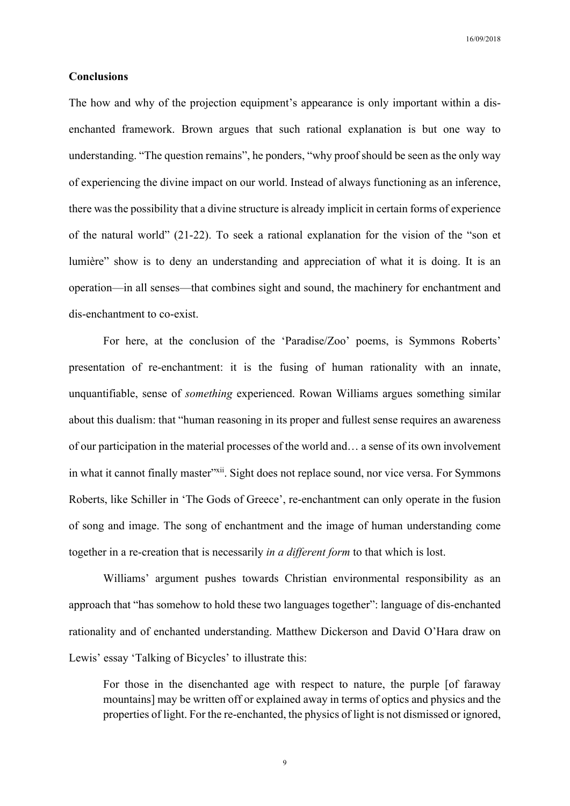# **Conclusions**

The how and why of the projection equipment's appearance is only important within a disenchanted framework. Brown argues that such rational explanation is but one way to understanding. "The question remains", he ponders, "why proof should be seen as the only way of experiencing the divine impact on our world. Instead of always functioning as an inference, there was the possibility that a divine structure is already implicit in certain forms of experience of the natural world" (21-22). To seek a rational explanation for the vision of the "son et lumière" show is to deny an understanding and appreciation of what it is doing. It is an operation—in all senses—that combines sight and sound, the machinery for enchantment and dis-enchantment to co-exist.

For here, at the conclusion of the 'Paradise/Zoo' poems, is Symmons Roberts' presentation of re-enchantment: it is the fusing of human rationality with an innate, unquantifiable, sense of *something* experienced. Rowan Williams argues something similar about this dualism: that "human reasoning in its proper and fullest sense requires an awareness of our participation in the material processes of the world and… a sense of its own involvement in what it cannot finally master"xii. Sight does not replace sound, nor vice versa. For Symmons Roberts, like Schiller in 'The Gods of Greece', re-enchantment can only operate in the fusion of song and image. The song of enchantment and the image of human understanding come together in a re-creation that is necessarily *in a different form* to that which is lost.

Williams' argument pushes towards Christian environmental responsibility as an approach that "has somehow to hold these two languages together": language of dis-enchanted rationality and of enchanted understanding. Matthew Dickerson and David O'Hara draw on Lewis' essay 'Talking of Bicycles' to illustrate this:

For those in the disenchanted age with respect to nature, the purple [of faraway mountains] may be written off or explained away in terms of optics and physics and the properties of light. For the re-enchanted, the physics of light is not dismissed or ignored,

9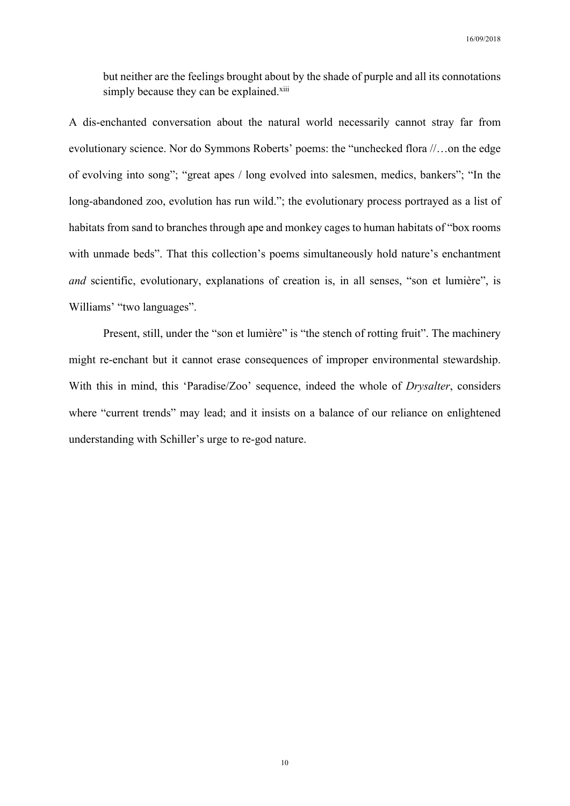but neither are the feelings brought about by the shade of purple and all its connotations simply because they can be explained.<sup>xiii</sup>

A dis-enchanted conversation about the natural world necessarily cannot stray far from evolutionary science. Nor do Symmons Roberts' poems: the "unchecked flora //…on the edge of evolving into song"; "great apes / long evolved into salesmen, medics, bankers"; "In the long-abandoned zoo, evolution has run wild."; the evolutionary process portrayed as a list of habitats from sand to branches through ape and monkey cages to human habitats of "box rooms with unmade beds". That this collection's poems simultaneously hold nature's enchantment *and* scientific, evolutionary, explanations of creation is, in all senses, "son et lumière", is Williams' "two languages".

Present, still, under the "son et lumière" is "the stench of rotting fruit". The machinery might re-enchant but it cannot erase consequences of improper environmental stewardship. With this in mind, this 'Paradise/Zoo' sequence, indeed the whole of *Drysalter*, considers where "current trends" may lead; and it insists on a balance of our reliance on enlightened understanding with Schiller's urge to re-god nature.